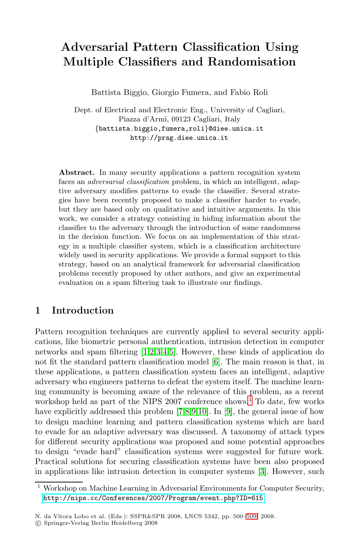# **Adversarial Pattern Classification Using Multiple Classifiers and Randomisation**

Battista Biggio, Giorgio Fumera, and Fabio Roli

Dept. of Electrical and Electronic Eng., University of Cagliari, Piazza d'Armi, 09123 Cagliari, Italy {battista.biggio,fumera,roli}@diee.unica.it http://prag.diee.unica.it

**Abstract.** In many security applications a pattern recognition system faces an adversarial classification problem, in which an intelligent, adaptive adversary modifies patterns to evade the classifier. Several strategies have been recently proposed to make a classifier harder to evade, but they are based only on qualitative and intuitive arguments. In this work, we consider a strategy consisting in hiding information about the classifier to the adversary through the introduction of some randomness in the decision function. We focus on an implementation of this strategy in a multiple classifier system, which is a classification architecture widely used in security applications. We provide a formal support to this strategy, based on an analytical framework for adversarial classification pro[ble](#page-9-0)[m](#page-9-1)[s](#page-9-2) [re](#page-9-3)[ce](#page-9-4)ntly proposed by other authors, and give an experimental evaluation on a spam filt[eri](#page-9-5)ng task to illustrate our findings.

### **1 Introduction**

Pattern recognition [t](#page-9-6)[ec](#page-9-7)[hn](#page-9-8)[iqu](#page-9-9)es a[re](#page-9-8) cur[re](#page-0-0)ntly applied to several security applications, like biometric personal authentication, intrusion detection in computer networks and spam filtering [1,2,3,4,5]. However, these kinds of application do not fit the standard pattern classification model [6]. The main reason is that, in these applications, a pattern classification system faces an intelligent, adaptive adversary who engineers patterns to defeat the system itself. The machine learning community is becoming aware of the [rel](#page-9-2)evance of this problem, as a recent workshop held as part of the NIPS 2007 conference shows.<sup>1</sup> To date, few works have explicitly addressed this problem [7,8,9,10]. In [9], the general issue of how [to design machine learning and pattern cla](http://nips.cc/Conferences/2007/Program/event.php?ID=615)ssification systems which are hard to evade for an adaptive adversary was discussed. A taxonomy of attack types for different security applications was [prop](#page-9-10)osed and some potential approaches to design "evade hard" classification systems were suggested for future work. Practical solutions for securing classification systems have been also proposed in applications like intrusion detection in computer systems [3]. However, such

<span id="page-0-0"></span><sup>1</sup> Workshop on Machine Learning in Adversarial Environments for Computer Security, http://nips.cc/Conferences/2007/Program/event.php?ID=615

N. da Vitora Lobo et al. (Eds.): SSPR&SPR 2008, LNCS 5342, pp. 500–509, 2008.

<sup>-</sup>c Springer-Verlag Berlin Heidelberg 2008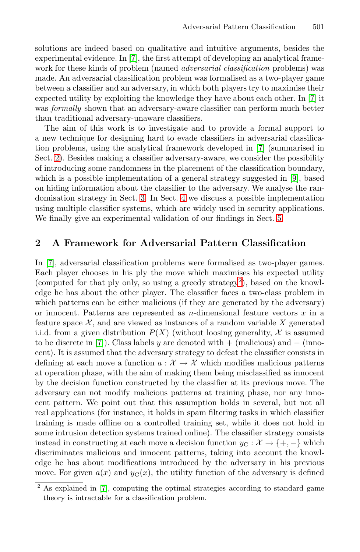solutions are indeed based on qualitative and intuitive arguments, besides the experimental evidence. In [7], the first attempt of developing an analytical framework for these kinds of problem (named *a[dve](#page-9-6)rsarial classification* problems) was made. An adversarial classification problem was formalised as a two-player game between a classifier and an adversary, in which both players try to maximise their expected utility by exploiting the knowledge they h[ave](#page-9-8) about each other. In [7] it was *formally* shown that an adversary-aware classifier can perform much better than trad[iti](#page-3-0)onal adv[ers](#page-6-0)ary-unaware classifiers.

<span id="page-1-1"></span>The aim of this work is to investigate and to provide a formal support to a new technique for designing hard to evade cl[as](#page-6-1)sifiers in adversarial classification problems, using the analytical framework developed in [7] (summarised in Sect. 2). Besides making a classifier adversary-aware, we consider the possibility of introducing some randomness in the placement of the classification boundary, which is a possible implementation of a general strategy suggested in [9], based on hiding information about the classifier to the adversary. We analyse the randomisation strategy in Sect. 3. In Sect. 4 we discuss a possible implementation using multiple classifier systems, whi[ch](#page-1-0) are widely used in security applications. We finally give an experimental validation of our findings in Sect. 5.

# **2 A Framework for Adversarial Pattern Classification**

In [7], adversarial classification problems were formalised as two-player games. Each player chooses in his ply the move which maximises his expected utility (computed for that ply only, so using a greedy strategy<sup>2</sup>), based on the knowledge he has about the other player. The classifier faces a two-class problem in which patterns can be either malicious (if they are generated by the adversary) or innocent. Patterns are represented as n-dimensional feature vectors  $x$  in a feature space  $X$ , and are viewed as instances of a random variable X generated i.i.d. from a given distribution  $P(X)$  (without loosing generality, X is assumed to be discrete in [7]). Class labels y are denoted with  $+$  (malicious) and  $-$  (innocent). It is assumed that the adversary strategy to defeat the classifier consists in defining at each move a function  $a: \mathcal{X} \to \mathcal{X}$  which modifies malicious patterns at operation phase, with the aim of making them being misclassified as innocent by the decision function constructed by the classifier at its previous move. The adversary can not modify malicious patterns at training phase, nor any innocent pattern. We point out that this assumption holds in several, but not all [r](#page-9-6)eal applications (for instance, it holds in spam filtering tasks in which classifier training is made offline on a controlled training set, while it does not hold in some intrusion detection systems trained online). The classifier strategy consists instead in constructing at each move a decision function  $y_{\rm C}: \mathcal{X} \to \{+,-\}$  which discriminates malicious and innocent patterns, taking into account the knowledge he has about modifications introduced by the adversary in his previous move. For given  $a(x)$  and  $y<sub>C</sub>(x)$ , the utility function of the adversary is defined

<span id="page-1-0"></span><sup>2</sup> As explained in [7], computing the optimal strategies according to standard game theory is intractable for a classification problem.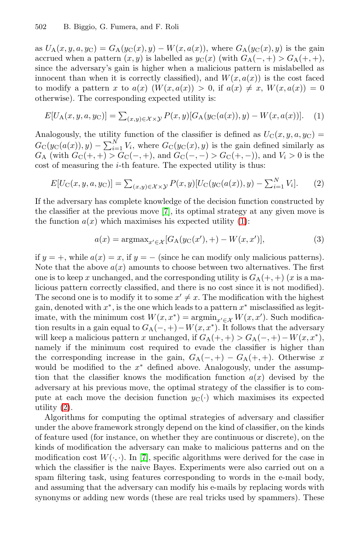<span id="page-2-0"></span>as  $U_A(x, y, a, y_C) = G_A(y_C(x), y) - W(x, a(x))$ , where  $G_A(y_C(x), y)$  is the gain accrued when a pattern  $(x, y)$  is labelled as  $y_C(x)$  (with  $G_A(-, +) > G_A(+, +)$ , since the adversary's gain is higher when a malicious pattern is mislabelled as innocent than when it is correctly classified), and  $W(x, a(x))$  is the cost faced to modify a pattern x to  $a(x)$   $(W(x, a(x)) > 0$ , if  $a(x) \neq x$ ,  $W(x, a(x)) = 0$ otherwise). The corresponding expected utility is:

$$
E[U_{A}(x, y, a, y_{C})] = \sum_{(x, y) \in \mathcal{X} \times \mathcal{Y}} P(x, y) [G_{A}(y_{C}(a(x)), y) - W(x, a(x))]. \tag{1}
$$

Analogously, th[e u](#page-9-6)tility function of the classifier is defined as  $U_{\rm C}(x, y, a, y_{\rm C}) =$  $G_{\rm C}(y_{\rm C}(a(x)), y) - \sum_{i=1}^{N} V_i$  $G_{\rm C}(y_{\rm C}(a(x)), y) - \sum_{i=1}^{N} V_i$  $G_{\rm C}(y_{\rm C}(a(x)), y) - \sum_{i=1}^{N} V_i$ , where  $G_{\rm C}(y_{\rm C}(x), y)$  is the gain defined similarly as  $G_A$  (with  $G_C(+, +) > G_C(-, +)$ , and  $G_C(-, -) > G_C(+, -)$ ), and  $V_i > 0$  is the cost of measuring the  $i$ -th feature. The expected utility is thus:

$$
E[U_{\rm C}(x, y, a, y_{\rm C})] = \sum_{(x, y) \in \mathcal{X} \times \mathcal{Y}} P(x, y) [U_{\rm C}(y_{\rm C}(a(x)), y) - \sum_{i=1}^{N} V_i].
$$
 (2)

If the adversary has complete knowledge of the decision function constructed by the classifier at the previous move [7], its optimal strategy at any given move is the function  $a(x)$  which maximises his expected utility (1):

$$
a(x) = \operatorname{argmax}_{x' \in \mathcal{X}} [G_{A}(y_{C}(x'), +) - W(x, x')],
$$
\n(3)

if  $y = +$ , while  $a(x) = x$ , if  $y = -$  (since he can modify only malicious patterns). Note that the above  $a(x)$  amounts to choose between two alternatives. The first one is to keep x unchanged, and the corresponding utility is  $G_A(+, +)$  (x is a malicious pattern correctly classified, and there is no cost since it is not modified). The second one is to modify it to some  $x' \neq x$ . The modification with the highest gain, denoted with  $x^*$ , is the one which leads to a pattern  $x^*$  misclassified as legitimate, with the minimum cost  $W(x, x^*) = \operatorname{argmin}_{x' \in \mathcal{X}} W(x, x')$ . Such modification results in a gain equal to  $G_A(-, +)-W(x, x^*)$ . It follows that the adversary will keep a malicious pattern x unchanged, if  $G_A(+,+) > G_A(-,+) - W(x,x^*),$ namely if the minimum cost required to evade the classifier is higher than the corresponding increase in the gain,  $G_A(-,+) - G_A(+,+)$ . Otherwise x would be modified to the  $x^*$  defined above. Analogously, under the assumption [th](#page-9-6)at the classifier knows the modification function  $a(x)$  devised by the adversary at his previous move, the optimal strategy of the classifier is to compute at each move the decision function  $y_{\text{C}}(\cdot)$  which maximises its expected utility (2).

Algorithms for computing the optimal strategies of adversary and classifier under the above framework strongly depend on the kind of classifier, on the kinds of feature used (for instance, on whether they are continuous or discrete), on the kinds of modification the adversary can make to malicious patterns and on the modification cost  $W(\cdot, \cdot)$ . In [7], specific algorithms were derived for the case in which the classifier is the naive Bayes. Experiments were also carried out on a spam filtering task, using features corresponding to words in the e-mail body, and assuming that the adversary can modify his e-mails by replacing words with synonyms or adding new words (these are real tricks used by spammers). These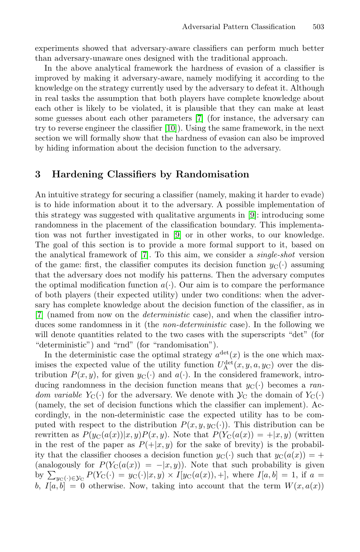experiments sho[wed](#page-9-9) that [a](#page-9-6)dversary-aware classifiers can perform much better than adversary-unaware ones designed with the traditional approach.

<span id="page-3-0"></span>In the above analytical framework the hardness of evasion of a classifier is improved by making it adversary-aware, namely modifying it according to the knowledge on the strategy currently used by the adversary to defeat it. Although in real tasks the assumption that both players have complete knowledge about each other is likely to be violated, it is plausible that they can make at least some guesses about each other parameters [7] (for instance, the adversary can try to reverse engineer the classifier [10]). Using the same framework, in the next section we will formally show that the h[ar](#page-9-8)dness of evasion can also be improved by hiding information about the decision function to the adversary.

# **3 Har[de](#page-9-6)ning Classifiers by Randomisation**

An intuitive strategy for securing a classifier (namely, making it harder to evade) is to hide information about it to the adversary. A possible implementation of this strategy was suggested with qualitative arguments in [9]: introducing some randomness in the placement of the classification boundary. This implementation was not further investigated in [9] or in other works, to our knowledge. The goal of this section is to provide a more formal support to it, based on the analytical framework of [7]. To this aim, we consider a single-shot version of the game: first, the classifier computes its decision function  $y_{\rm C}(\cdot)$  assuming that the adversary does not modify his patterns. Then the adversary computes the optimal modification function  $a(\cdot)$ . Our aim is to compare the performance of both players (their expected utility) under two conditions: when the adversary has complete knowledge about the decision function of the classifier, as in [7] (named from now on the deterministic case), and when the classifier introduces some randomness in it (the non-deterministic case). In the following we will denote quantities related to the two cases with the superscripts "det" (for "deterministic") and "rnd" (for "randomisation").

In the deterministic case the optimal strategy  $a^{\text{det}}(x)$  is the one which maximises the expected value of the utility function  $U_A^{\text{det}}(x, y, a, y_C)$  over the distribution  $P(x, y)$ , for given  $y_{\text{C}}(\cdot)$  and  $a(\cdot)$ . In the considered framework, introducing randomness in the decision function means that  $y_C(\cdot)$  becomes a random variable  $Y_{\text{C}}(\cdot)$  for the adversary. We denote with  $\mathcal{Y}_{\text{C}}$  the domain of  $Y_{\text{C}}(\cdot)$ (namely, the set of decision functions which the classifier can implement). Accordingly, in the non-deterministic case the expected utility has to be computed with respect to the distribution  $P(x, y, y<sub>C</sub>(.))$ . This distribution can be rewritten as  $P(y_C(a(x))|x, y)P(x, y)$ . Note that  $P(Y_C(a(x)) = +|x, y)$  (written in the rest of the paper as  $P(+|x, y)$  for the sake of brevity) is the probability that the classifier chooses a decision function  $y_{\text{C}}(\cdot)$  such that  $y_{\text{C}}(a(x)) = +$ (analogously for  $P(Y_C(a(x)) = -|x, y)$ ). Note that such probability is given by  $\sum_{y_C(\cdot)\in\mathcal{Y}_C} P(Y_C(\cdot) = y_C(\cdot)|x, y) \times I[y_C(a(x)), +]$ , where  $I[a, b] = 1$ , if  $a =$ b,  $I[a, b] = 0$  otherwise. Now, taking into account that the term  $W(x, a(x))$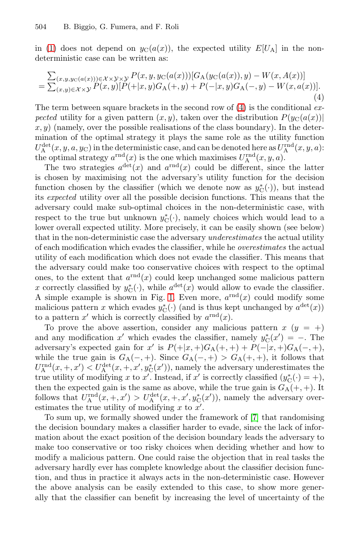<span id="page-4-0"></span>in (1) does not depend on  $y_C(a(x))$ , the expected utility  $E[U_A]$  in the nondeterministic case can be written as:

-(x,y,yC(a(x)))∈X ×Y×Y <sup>P</sup>(x, y, yC(a(x)))[GA(yC(a(x)), y) <sup>−</sup> <sup>W</sup>(x, A(x))] = -(x,y)∈X ×Y <sup>P</sup>(x, y)[P(+|x, y)GA(+, y) + <sup>P</sup>(−|x, y)GA(−, y) <sup>−</sup> <sup>W</sup>(x, a(x))]. (4)

The term between square brackets in the second row of  $(4)$  is the conditional expected utility for a given pattern  $(x, y)$ , taken over the distribution  $P(y_C(a(x)))$  $x, y$ ) (namely, over the possible realisations of the class boundary). In the determination of the optimal strategy it plays the same role as the utility function  $U^{\text{det}}_{\text{A}}(x, y, a, y_{\text{C}})$  in the deterministic case, and can be denoted here as  $U^{\text{rnd}}_{\text{A}}(x, y, a)$ : the optimal strategy  $a^{\text{rnd}}(x)$  is the one which maximises  $U_A^{\text{rnd}}(x, y, a)$ .

The two strategies  $a^{\text{det}}(x)$  and  $a^{\text{rnd}}(x)$  could be different, since the latter is chosen by maximising not the adversary's utility function for the decision function chosen by the classifier (which we denote now as  $y^*_{\mathcal{C}}(\cdot)$ ), but instead its expected utility over all the possible decision functions. This means that the adversary could make sub-optimal choices in the non-deterministic case, with respect to the tr[ue](#page-5-0) but unknown  $y_C^*(\cdot)$ , namely choices which would lead to a lower overall expected utility. More precisely, it can be easily shown (see below) that in the non-deterministic case the adversary underestimates the actual utility of each modification which evades the classifier, while he overestimates the actual utility of each modification which does not evade the classifier. This means that the adversary could make too conservative choices with respect to the optimal ones, to the extent that  $a^{\text{rnd}}(x)$  could keep unchanged some malicious pattern x correctly classified by  $y_C^*(\cdot)$ , while  $a^{\text{det}}(x)$  would allow to evade the classifier. A simple example is shown in Fig. 1. Even more,  $a^{\text{rnd}}(x)$  could modify some malicious pattern x which evades  $y_C^*(\cdot)$  (and is thus kept unchanged by  $a^{\text{det}}(x)$ ) to a pattern x' which is correctly classified by  $a^{\text{rnd}}(x)$ .

To prove the above assertion, consider any malicious pattern  $x (y = +)$ and any modification  $x'$  which evades [the](#page-9-6) classifier, namely  $y^*_{\mathcal{C}}(x') = -$ . The adversary's expected gain for x' is  $P(+|x, +)G_A(+, +) + P(-|x, +)G_A(-, +),$ while the true gain is  $G_A(-,+)$ . Since  $G_A(-,+) > G_A(+,+)$ , it follows that  $U_A^{\text{rnd}}(x, +, x') < U_A^{\text{det}}(x, +, x', y_C^*(x'))$ , namely the adversary underestimates the true utility of modifying x to x'. Instead, if x' is correctly classified  $(y_C^*(\cdot) = +)$ , then the expected gain is the same as above, while the true gain is  $G_A(+,+)$ . It follows that  $U_A^{\text{rnd}}(x, +, x') > U_A^{\text{det}}(x, +, x', y_C^*(x'))$ , namely the adversary overestimates the true utility of modifying  $x$  to  $x'$ .

To sum up, we formally showed under the framework of [7] that randomising the decision boundary makes a classifier harder to evade, since the lack of information about the exact position of the decision boundary leads the adversary to make too conservative or too risky choices when deciding whether and how to modify a malicious pattern. One could raise the objection that in real tasks the adversary hardly ever has complete knowledge about the classifier decision function, and thus in practice it always acts in the non-deterministic case. However the above analysis can be easily extended to this case, to show more generally that the classifier can benefit by increasing the level of uncertainty of the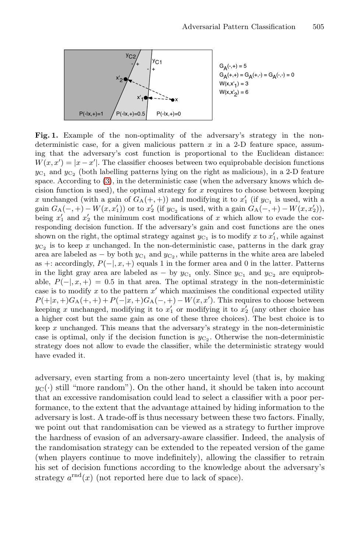<span id="page-5-0"></span>

**Fig. 1.** Example of the non-optimality of the adversary's strategy in the nondeterministic case, for a given malicious pattern  $x$  in a 2-D feature space, assuming that the adversary's cost function is proportional to the Euclidean distance:  $W(x, x') = |x - x'|$ . The classifier chooses between two equiprobable decision functions  $y_{C_1}$  and  $y_{C_2}$  (both labelling patterns lying on the right as malicious), in a 2-D feature space. According to (3), in the deterministic case (when the adversary knows which decision function is used), the optimal strategy for  $x$  requires to choose between keeping x unchanged (with a gain of  $G_A(+,+)$ ) and modifying it to  $x'_1$  (if  $y_{C_1}$  is used, with a gain  $G_A(-,+) - W(x, x_1')$  or to  $x_2'$  (if  $y_{C_2}$  is used, with a gain  $G_A(-,+) - W(x, x_2')$ ), being  $x'_1$  and  $x'_2$  the minimum cost modifications of x which allow to evade the corresponding decision function. If the adversary's gain and cost functions are the ones shown on the right, the optimal strategy against  $y_{C_1}$  is to modify x to  $x'_1$ , while against  $y_{C_2}$  is to keep x unchanged. In the non-deterministic case, patterns in the dark gray area are labeled as  $-$  by both  $y_{C_1}$  and  $y_{C_2}$ , while patterns in the white area are labeled as +: accordingly,  $P(-|,x,+)$  equals 1 in the former area and 0 in the latter. Patterns in the light gray area are labeled as  $-$  by  $y_{C_1}$  only. Since  $y_{C_1}$  and  $y_{C_2}$  are equiprobable,  $P(-|,x,+) = 0.5$  in that area. The optimal strategy in the non-deterministic case is to modify  $x$  to the pattern  $x'$  which maximises the conditional expected utility  $P(+|x,+)G_A(+,+)+P(-|x,+)G_A(-,+)-W(x,x')$ . This requires to choose between keeping x unchanged, modifying it to  $x'_1$  or modifying it to  $x'_2$  (any other choice has a higher cost but the same gain as one of these three choices). The best choice is to keep  $x$  unchanged. This means that the adversary's strategy in the non-deterministic case is optimal, only if the decision function is  $y_{C_2}$ . Otherwise the non-deterministic strategy does not allow to evade the classifier, while the deterministic strategy would have evaded it.

adversary, even starting from a non-zero uncertainty level (that is, by making  $y_{\text{C}}(\cdot)$  still "more random"). On the other hand, it should be taken into account that an excessive randomisation could lead to select a classifier with a poor performance, to the extent that the advantage attained by hiding information to the adversary is lost. A trade-off is thus necessary between these two factors. Finally, we point out that randomisation can be viewed as a strategy to further improve the hardness of evasion of an adversary-aware classifier. Indeed, the analysis of the randomisation strategy can be extended to the repeated version of the game (when players continue to move indefinitely), allowing the classifier to retrain his set of decision functions according to the knowledge about the adversary's strategy  $a^{\text{rnd}}(x)$  (not reported here due to lack of space).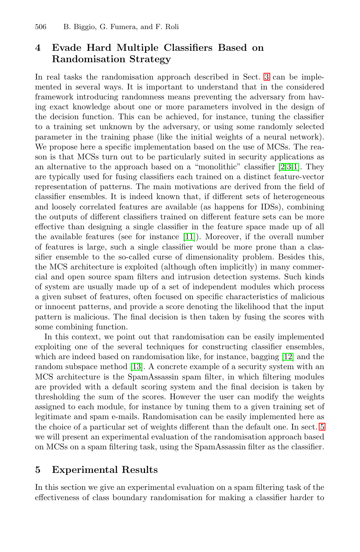# <span id="page-6-0"></span>**4 Evade Hard Multiple Classifiers Based on Randomisation Strategy**

In real tasks the randomisation approach described in Sect. 3 can be implemented in several ways. It is important to un[der](#page-9-1)[st](#page-9-2)[an](#page-9-0)d that in the considered framework introducing randomness means preventing the adversary from having exact knowledge about one or more parameters involved in the design of the decision function. This can be achieved, for instance, tuning the classifier to a training set unknown by the adversary, or using some randomly selected parameter in the training phase (like the initial weights of a neural network). We propose here a specific implementation based on the use of MCSs. The reason is that MCSs tur[n ou](#page-9-11)t to be particularly suited in security applications as an alternative to the approach based on a "monolithic" classifier [2,3,1]. They are typically used for fusing classifiers each trained on a distinct feature-vector representation of patterns. The main motivations are derived from the field of classifier ensembles. It is indeed known that, if different sets of heterogeneous and loosely correlated features are available (as happens for IDSs), combining the outputs of different classifiers trained on different feature sets can be more effective than designing a single classifier in the feature space made up of all the available features (see for instance [11]). Moreover, if the overall number of features is large, such a single classifier would be more prone than a classifier ensemble to the so-called curse of dimensionality problem. Besides this, the MCS architecture is exploited (although often implicitly) in many commercial and open source spam filters and intrusion [det](#page-9-12)ection systems. Such kinds of syst[em](#page-9-13) are usually made up of a set of independent modules which process a given subset of features, often focused on specific characteristics of malicious or innocent patterns, and provide a score denoting the likelihood that the input pattern is malicious. The final decision is then taken by fusing the scores with some combining function.

<span id="page-6-1"></span>In this context, we point out that randomisation can be easily implemented exploiting one of the several techniques for constructing [cl](#page-6-1)assifier ensembles, which are indeed based on randomisation like, for instance, bagging [12] and the random subspace method [13]. A concrete example of a security system with an MCS architecture is the SpamAssassin spam filter, in which filtering modules are provided with a default scoring system and the final decision is taken by thresholding the sum of the scores. However the user can modify the weights assigned to each module, for instance by tuning them to a given training set of legitimate and spam e-mails. Randomisation can be easily implemented here as the choice of a particular set of weights different than the default one. In sect. 5 we will present an experimental evaluation of the randomisation approach based on MCSs on a spam filtering task, using the SpamAssassin filter as the classifier.

### **5 Experimental Results**

In this section we give an experimental evaluation on a spam filtering task of the effectiveness of class boundary randomisation for making a classifier harder to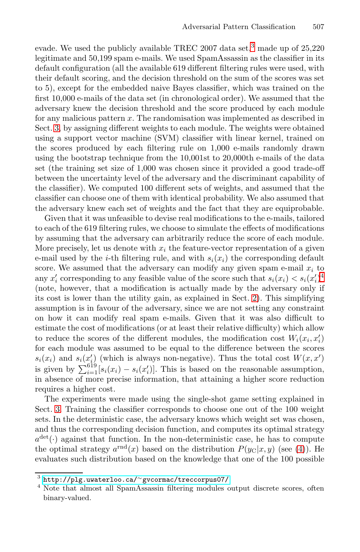evade. We used the publicly available TREC 2007 data set,<sup>3</sup> made up of  $25,220$ legitimate and 50,199 spam e-mails. We used SpamAssassin as the classifier in its default configuration (all the available 619 different filtering rules were used, with their default scoring, and the decision threshold on the sum of the scores was set to 5), except for the embedded naive Bayes classifier, which was trained on the first 10,000 e-mails of the data set (in chronological order). We assumed that the adversary knew the decision threshold and the score produced by each module for any malicious pattern x. The randomisation was implemented as described in Sect. 3, by assigning different weights to each module. The weights were obtained using a support vector machine (SVM) classifier with linear kernel, trained on the scores produced by each filtering rule on 1,000 e-mails randomly drawn using the bootstrap technique from the 10,001st to 20,000th e-mails of the data set (the training set size of 1,000 was chosen since it provided a good trade-off between the uncertainty level of the adversary and the discriminant capability of the classifier). We computed 100 different sets of weights, and assumed that the classifier can choose one of them with identical probability. [We](#page-7-0) also assumed that the adversary knew each set of weights and the fact that they are equiprobable.

Given that it was unfeasible to devise r[ea](#page-1-1)l modifications to the e-mails, tailored to each of the 619 filtering rules, we choose to simulate the effects of modifications by assuming that the adversary can arbitrarily reduce the score of each module. More precisely, let us denote with  $x_i$  the feature-vector representation of a given e-mail used by the *i*-th filtering rule, and with  $s_i(x_i)$  the corresponding default score. We assumed that the adversary can modify any given spam e-mail  $x_i$  to any  $x_i'$  corresponding to any feasible value of the score such that  $s_i(x_i) < s_i(x_i')^4$ (note, however, that a modification is actually made by the adversary only if its cost is lower than the utility gain, as explained in Sect. 2). This simplifying assumption is in favour of the adversary, since we are not setting any constraint on how it can modify real spam e-mails. Given that it was also difficult to estimate the cost of modifications (or at least their relative difficulty) which allow to reduce the scores of the different modules, the modification cost  $W_i(x_i, x'_i)$ for each module was assumed to be equal to the difference between the scores  $s_i(x_i)$  and  $s_i(x_i)$  (which is always non-negative). Thus the total cost  $W(x, x')$ is given by  $\sum_{i=1}^{619} [s_i(x_i) - s_i(x'_i)]$ . This is based on t[he](#page-4-0) reasonable assumption, in absence of more precise information, that attaining a higher score reduction requires a higher cost.

<span id="page-7-0"></span>[The experiments were made usi](http://plg.uwaterloo.ca/~gvcormac/treccorpus07/)ng the single-shot game setting explained in Sect. 3. Training the classifier corresponds to choose one out of the 100 weight sets. In the deterministic case, the adversary knows which weight set was chosen, and thus the corresponding decision function, and computes its optimal strategy  $a^{\text{det}}(\cdot)$  against that function. In the non-deterministic case, he has to compute the optimal strategy  $a^{\text{rnd}}(x)$  based on the distribution  $P(y_C|x, y)$  (see (4)). He evaluates such distribution based on the knowledge that one of the 100 possible

<sup>3</sup> http://plg.uwaterloo.ca/<sup>∼</sup>gvcormac/treccorpus07/

<sup>&</sup>lt;sup>4</sup> Note that almost all SpamAssassin filtering modules output discrete scores, often binary-valued.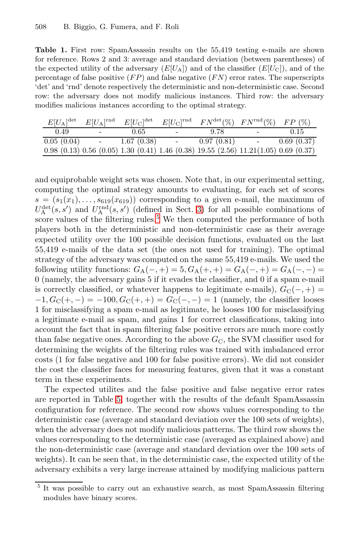<span id="page-8-1"></span>**Table 1.** First row: SpamAssassin results on the 55.419 testing e-mails are shown for reference. Rows 2 and 3: average and standard deviation (between parentheses) of the expected utility of the adversary  $(E[U_A])$  and of the classifier  $(E[U_C])$ , and of the percentage of false positive  $(FP)$  and false negative  $(FN)$  error rates. The superscripts 'det' and 'rnd' denote respectively the deterministic and non-deterministic case. Second row: the adversary does not modify malicious instances. Third row: the adversary modifies malicious instances according to the optimal strategy.

| $E[U_{\rm A}]^{\rm det}$ |        | $E[U_{\rm A}]^{\rm rnd}$ $E[U_{\rm C}]^{\rm det}$ |                          | $E[U_{\rm C}]^{\rm rnd}$ $FN^{\rm det}(\%)$ $FN^{\rm rnd}(\%)$ $FP (\%)$                         |            |            |
|--------------------------|--------|---------------------------------------------------|--------------------------|--------------------------------------------------------------------------------------------------|------------|------------|
| 0.49                     | $\sim$ | 0.65                                              | $\overline{\phantom{a}}$ | 9.78                                                                                             | $\sim$ $-$ | 0.15       |
| 0.05(0.04)               | $\sim$ | 1.67(0.38)                                        | $\sim$                   | 0.97(0.81)                                                                                       | $\sim$     | 0.69(0.37) |
|                          |        |                                                   |                          | $0.98$ (0.13) $0.56$ (0.05) $1.30$ (0.41) $1.46$ (0.38) $19.55$ (2.56) $11.21(1.05)$ 0.69 (0.37) |            |            |

and equiprobable weight sets was chosen. Note that, in our experimental setting, computing the optimal strategy amounts to evaluating, for each set of scores  $s = (s_1(x_1), \ldots, s_{619}(x_{619}))$  corresponding to a given e-mail, the maximum of  $U^{\text{det}}_{\mathcal{A}}(s, s')$  and  $U^{\text{rnd}}_{\mathcal{A}}(s, s')$  (defined in Sect. 3) for all possible combinations of score values of the filtering rules.<sup>5</sup> We then computed the performance of both players both in the deterministic and non-deterministic case as their average expected utility over the 100 possible decision functions, evaluated on the last 55,419 e-mails of the data set (the ones not used for training). The optimal strategy of the adversary was computed on the same 55,419 e-mails. We used the following utility functions:  $G_A(-,+) = 5, G_A(+,+) = G_A(-,+) = G_A(-,-) =$ 0 (namely, the adversary gains 5 if it evades the classifier, and 0 if a spam e-mail is correctly classified, or whatever happens to legitimate e-mails),  $G_{\rm C}(-,+)$  $-1, G_C(+, -) = -100, G_C(+, +) = G_C(-, -) = 1$  (namely, the classifier looses 1 for misclassifying a spam e-mail as legitimate, he looses 100 for misclassifying a l[eg](#page-8-1)itimate e-mail as spam, and gains 1 for correct classifications, taking into account the fact that in spam filtering false positive errors are much more costly than false negative ones. According to the above  $G_{\rm C}$ , the SVM classifier used for determining the weights of the filtering rules was trained with imbalanced error costs (1 for false negative and 100 for false positive errors). We did not consider the cost the classifier faces for measuring features, given that it was a constant term in these experiments.

<span id="page-8-0"></span>The expected utilites and the false positive and false negative error rates are reported in Table 5, together with the results of the default SpamAssassin configuration for reference. The second row shows values corresponding to the deterministic case (average and standard deviation over the 100 sets of weights), when the adversary does not modify malicious patterns. The third row shows the values corresponding to the deterministic case (averaged as explained above) and the non-deterministic case (average and standard deviation over the 100 sets of weights). It can be seen that, in the deterministic case, the expected utility of the adversary exhibits a very large increase attained by modifying malicious pattern

<sup>5</sup> It was possible to carry out an exhaustive search, as most SpamAssassin filtering modules have binary scores.